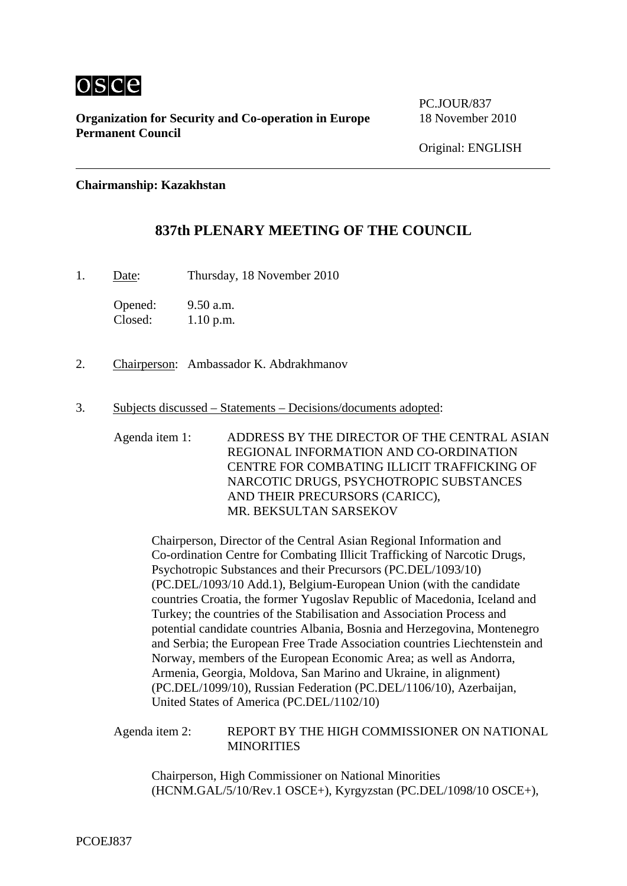

**Organization for Security and Co-operation in Europe** 18 November 2010 **Permanent Council** 

PC.JOUR/837

**Chairmanship: Kazakhstan** 

## **837th PLENARY MEETING OF THE COUNCIL**

1. Date: Thursday, 18 November 2010

Opened: 9.50 a.m. Closed: 1.10 p.m.

- 2. Chairperson: Ambassador K. Abdrakhmanov
- 3. Subjects discussed Statements Decisions/documents adopted:

Agenda item 1: ADDRESS BY THE DIRECTOR OF THE CENTRAL ASIAN REGIONAL INFORMATION AND CO-ORDINATION CENTRE FOR COMBATING ILLICIT TRAFFICKING OF NARCOTIC DRUGS, PSYCHOTROPIC SUBSTANCES AND THEIR PRECURSORS (CARICC), MR. BEKSULTAN SARSEKOV

Chairperson, Director of the Central Asian Regional Information and Co-ordination Centre for Combating Illicit Trafficking of Narcotic Drugs, Psychotropic Substances and their Precursors (PC.DEL/1093/10) (PC.DEL/1093/10 Add.1), Belgium-European Union (with the candidate countries Croatia, the former Yugoslav Republic of Macedonia, Iceland and Turkey; the countries of the Stabilisation and Association Process and potential candidate countries Albania, Bosnia and Herzegovina, Montenegro and Serbia; the European Free Trade Association countries Liechtenstein and Norway, members of the European Economic Area; as well as Andorra, Armenia, Georgia, Moldova, San Marino and Ukraine, in alignment) (PC.DEL/1099/10), Russian Federation (PC.DEL/1106/10), Azerbaijan, United States of America (PC.DEL/1102/10)

Agenda item 2: REPORT BY THE HIGH COMMISSIONER ON NATIONAL **MINORITIES** 

Chairperson, High Commissioner on National Minorities (HCNM.GAL/5/10/Rev.1 OSCE+), Kyrgyzstan (PC.DEL/1098/10 OSCE+),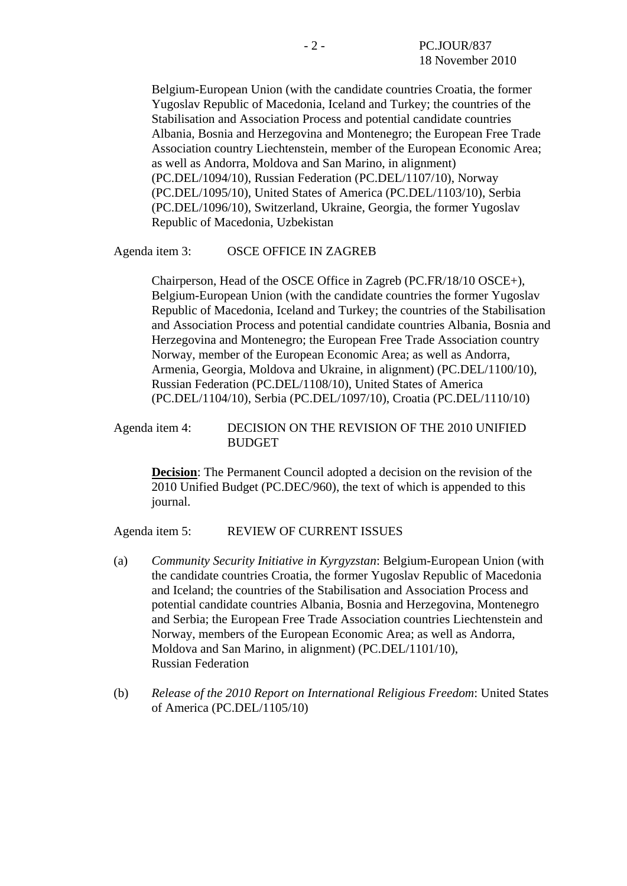Belgium-European Union (with the candidate countries Croatia, the former Yugoslav Republic of Macedonia, Iceland and Turkey; the countries of the Stabilisation and Association Process and potential candidate countries Albania, Bosnia and Herzegovina and Montenegro; the European Free Trade Association country Liechtenstein, member of the European Economic Area; as well as Andorra, Moldova and San Marino, in alignment) (PC.DEL/1094/10), Russian Federation (PC.DEL/1107/10), Norway (PC.DEL/1095/10), United States of America (PC.DEL/1103/10), Serbia (PC.DEL/1096/10), Switzerland, Ukraine, Georgia, the former Yugoslav Republic of Macedonia, Uzbekistan

### Agenda item 3: OSCE OFFICE IN ZAGREB

Chairperson, Head of the OSCE Office in Zagreb (PC.FR/18/10 OSCE+), Belgium-European Union (with the candidate countries the former Yugoslav Republic of Macedonia, Iceland and Turkey; the countries of the Stabilisation and Association Process and potential candidate countries Albania, Bosnia and Herzegovina and Montenegro; the European Free Trade Association country Norway, member of the European Economic Area; as well as Andorra, Armenia, Georgia, Moldova and Ukraine, in alignment) (PC.DEL/1100/10), Russian Federation (PC.DEL/1108/10), United States of America (PC.DEL/1104/10), Serbia (PC.DEL/1097/10), Croatia (PC.DEL/1110/10)

### Agenda item 4: DECISION ON THE REVISION OF THE 2010 UNIFIED **BUDGET**

**Decision**: The Permanent Council adopted a decision on the revision of the 2010 Unified Budget (PC.DEC/960), the text of which is appended to this journal.

Agenda item 5: REVIEW OF CURRENT ISSUES

- (a) *Community Security Initiative in Kyrgyzstan*: Belgium-European Union (with the candidate countries Croatia, the former Yugoslav Republic of Macedonia and Iceland; the countries of the Stabilisation and Association Process and potential candidate countries Albania, Bosnia and Herzegovina, Montenegro and Serbia; the European Free Trade Association countries Liechtenstein and Norway, members of the European Economic Area; as well as Andorra, Moldova and San Marino, in alignment) (PC.DEL/1101/10), Russian Federation
- (b) *Release of the 2010 Report on International Religious Freedom*: United States of America (PC.DEL/1105/10)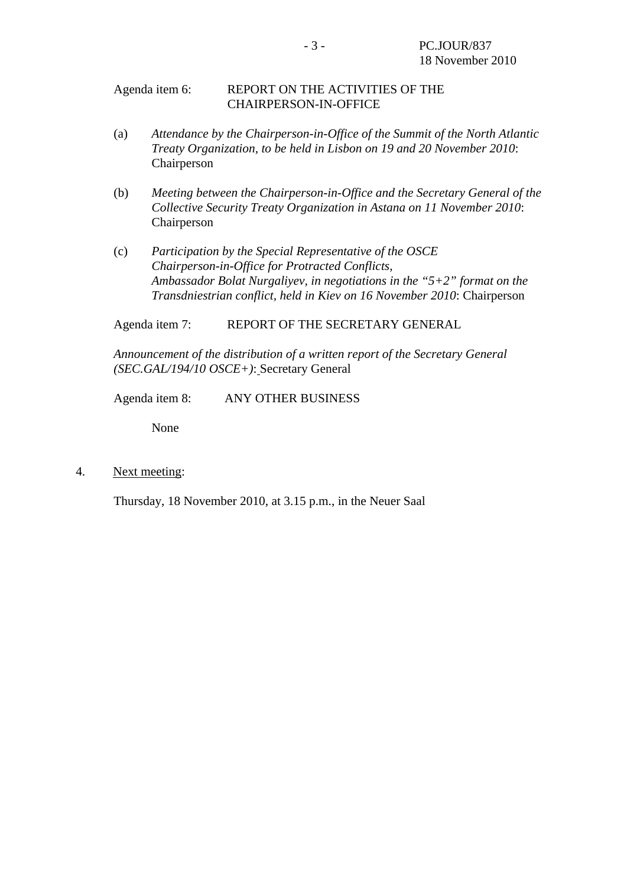### Agenda item 6: REPORT ON THE ACTIVITIES OF THE CHAIRPERSON-IN-OFFICE

- (a) *Attendance by the Chairperson-in-Office of the Summit of the North Atlantic Treaty Organization, to be held in Lisbon on 19 and 20 November 2010*: Chairperson
- (b) *Meeting between the Chairperson-in-Office and the Secretary General of the Collective Security Treaty Organization in Astana on 11 November 2010*: Chairperson
- (c) *Participation by the Special Representative of the OSCE Chairperson-in-Office for Protracted Conflicts, Ambassador Bolat Nurgaliyev, in negotiations in the "5+2" format on the Transdniestrian conflict, held in Kiev on 16 November 2010*: Chairperson

Agenda item 7: REPORT OF THE SECRETARY GENERAL

*Announcement of the distribution of a written report of the Secretary General (SEC.GAL/194/10 OSCE+)*: Secretary General

Agenda item 8: ANY OTHER BUSINESS

None

4. Next meeting:

Thursday, 18 November 2010, at 3.15 p.m., in the Neuer Saal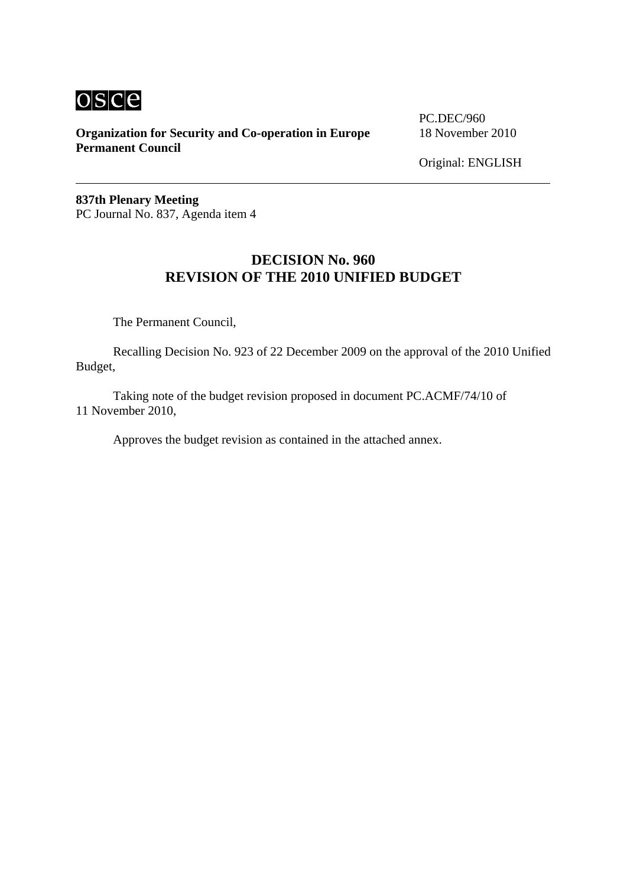# osce

**Organization for Security and Co-operation in Europe** 18 November 2010 **Permanent Council** 

PC.DEC/960

Original: ENGLISH

**837th Plenary Meeting**  PC Journal No. 837, Agenda item 4

## **DECISION No. 960 REVISION OF THE 2010 UNIFIED BUDGET**

The Permanent Council,

 Recalling Decision No. 923 of 22 December 2009 on the approval of the 2010 Unified Budget,

 Taking note of the budget revision proposed in document PC.ACMF/74/10 of 11 November 2010,

Approves the budget revision as contained in the attached annex.